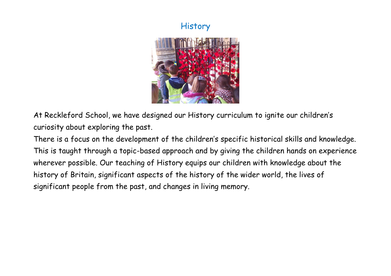## **History**



At Reckleford School, we have designed our History curriculum to ignite our children's curiosity about exploring the past.

There is a focus on the development of the children's specific historical skills and knowledge. This is taught through a topic-based approach and by giving the children hands on experience wherever possible. Our teaching of History equips our children with knowledge about the history of Britain, significant aspects of the history of the wider world, the lives of significant people from the past, and changes in living memory.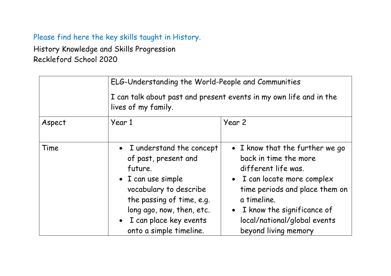## Please find here the key skills taught in History.

History Knowledge and Skills Progression Reckleford School 2020

|        | ELG-Understanding the World-People and Communities<br>I can talk about past and present events in my own life and in the<br>lives of my family.                                                                                |                                                                                                                                                                                                                                                                    |
|--------|--------------------------------------------------------------------------------------------------------------------------------------------------------------------------------------------------------------------------------|--------------------------------------------------------------------------------------------------------------------------------------------------------------------------------------------------------------------------------------------------------------------|
|        |                                                                                                                                                                                                                                |                                                                                                                                                                                                                                                                    |
| Aspect | Year 1                                                                                                                                                                                                                         | Year 2                                                                                                                                                                                                                                                             |
| Time   | • I understand the concept<br>of past, present and<br>future.<br>• I can use simple<br>vocabulary to describe<br>the passing of time, e.g.<br>long ago, now, then, etc.<br>• I can place key events<br>onto a simple timeline. | • I know that the further we go<br>back in time the more<br>different life was.<br>• I can locate more complex<br>time periods and place them on<br>a timeline.<br>I know the significance of<br>$\bullet$<br>local/national/global events<br>beyond living memory |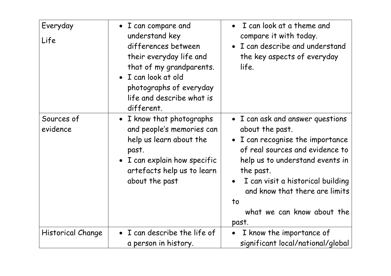| Everyday<br>Life       | • I can compare and<br>understand key<br>differences between<br>their everyday life and<br>that of my grandparents.<br>· I can look at old<br>photographs of everyday<br>life and describe what is<br>different. | I can look at a theme and<br>$\bullet$<br>compare it with today.<br>I can describe and understand<br>the key aspects of everyday<br>life.                                                                                                                                                                 |
|------------------------|------------------------------------------------------------------------------------------------------------------------------------------------------------------------------------------------------------------|-----------------------------------------------------------------------------------------------------------------------------------------------------------------------------------------------------------------------------------------------------------------------------------------------------------|
| Sources of<br>evidence | • I know that photographs<br>and people's memories can<br>help us learn about the<br>past.<br>• I can explain how specific<br>artefacts help us to learn<br>about the past                                       | • I can ask and answer questions<br>about the past.<br>I can recognise the importance<br>$\bullet$<br>of real sources and evidence to<br>help us to understand events in<br>the past.<br>I can visit a historical building<br>and know that there are limits<br>to<br>what we can know about the<br>past. |
| Historical Change      | • I can describe the life of<br>a person in history.                                                                                                                                                             | I know the importance of<br>significant local/national/global                                                                                                                                                                                                                                             |
|                        |                                                                                                                                                                                                                  |                                                                                                                                                                                                                                                                                                           |